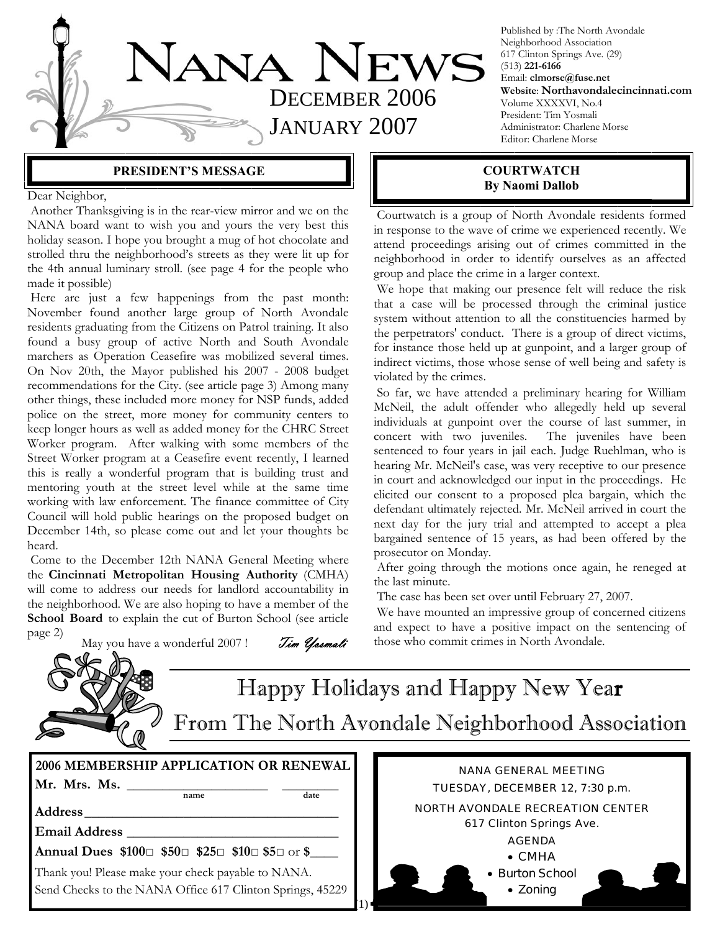

Published by :The North Avondale Neighborhood Association 617 Clinton Springs Ave. (29) (513) **221-6166** Email: **clmorse@fuse.net Website**: **Northavondalecincinnati.com** Volume XXXXVI, No.4 President: Tim Yosmali Administrator: Charlene Morse Editor: Charlene Morse

#### **PRESIDENT'S MESSAGE**

Dear Neighbor,

 Another Thanksgiving is in the rear-view mirror and we on the NANA board want to wish you and yours the very best this holiday season. I hope you brought a mug of hot chocolate and strolled thru the neighborhood's streets as they were lit up for the 4th annual luminary stroll. (see page 4 for the people who made it possible)

 Here are just a few happenings from the past month: November found another large group of North Avondale residents graduating from the Citizens on Patrol training. It also found a busy group of active North and South Avondale marchers as Operation Ceasefire was mobilized several times. On Nov 20th, the Mayor published his 2007 - 2008 budget recommendations for the City. (see article page 3) Among many other things, these included more money for NSP funds, added police on the street, more money for community centers to keep longer hours as well as added money for the CHRC Street Worker program. After walking with some members of the Street Worker program at a Ceasefire event recently, I learned this is really a wonderful program that is building trust and mentoring youth at the street level while at the same time working with law enforcement. The finance committee of City Council will hold public hearings on the proposed budget on December 14th, so please come out and let your thoughts be heard.

 Come to the December 12th NANA General Meeting where the **Cincinnati Metropolitan Housing Authority** (CMHA) will come to address our needs for landlord accountability in the neighborhood. We are also hoping to have a member of the School Board to explain the cut of Burton School (see article page 2) May you have a wonderful 2007! Tim Yosmali

 Courtwatch is a group of North Avondale residents formed **By Naomi Dallob** 

in response to the wave of crime we experienced recently. We attend proceedings arising out of crimes committed in the neighborhood in order to identify ourselves as an affected group and place the crime in a larger context. We hope that making our presence felt will reduce the risk

**COURTWATCH** 

that a case will be processed through the criminal justice system without attention to all the constituencies harmed by the perpetrators' conduct. There is a group of direct victims, for instance those held up at gunpoint, and a larger group of indirect victims, those whose sense of well being and safety is violated by the crimes.

 So far, we have attended a preliminary hearing for William McNeil, the adult offender who allegedly held up several individuals at gunpoint over the course of last summer, in concert with two juveniles. The juveniles have been sentenced to four years in jail each. Judge Ruehlman, who is hearing Mr. McNeil's case, was very receptive to our presence in court and acknowledged our input in the proceedings. He elicited our consent to a proposed plea bargain, which the defendant ultimately rejected. Mr. McNeil arrived in court the next day for the jury trial and attempted to accept a plea bargained sentence of 15 years, as had been offered by the prosecutor on Monday.

 After going through the motions once again, he reneged at the last minute.

The case has been set over until February 27, 2007.

 We have mounted an impressive group of concerned citizens and expect to have a positive impact on the sentencing of those who commit crimes in North Avondale.

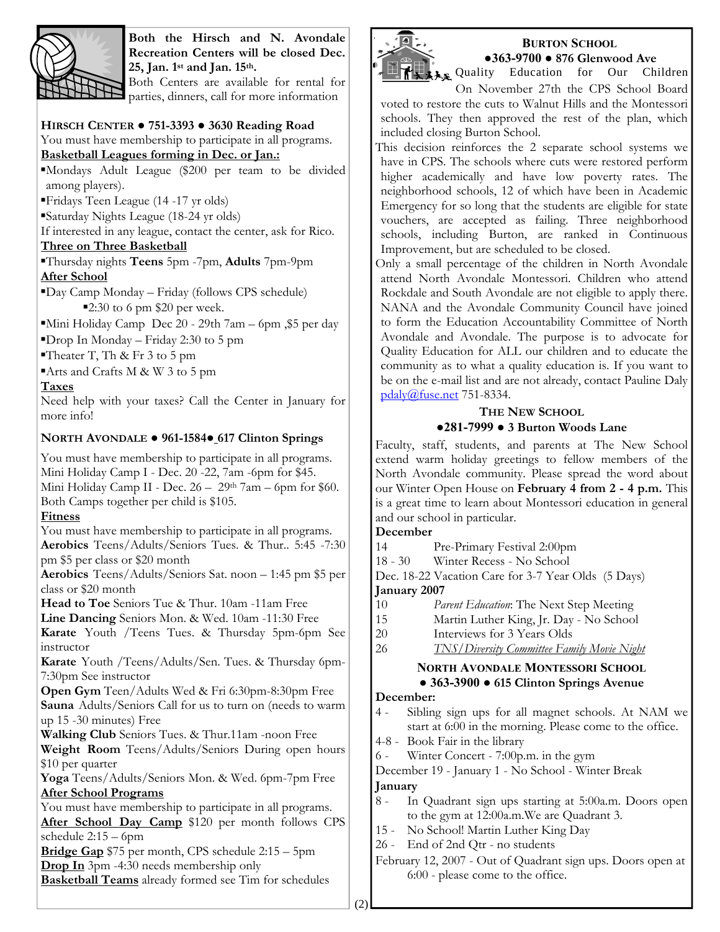

**Both the Hirsch and N. Avondale Recreation Centers will be closed Dec. 25, Jan. 1st and Jan. 15th.**

Both Centers are available for rental for parties, dinners, call for more information

### **HIRSCH CENTER ● 751-3393 ● 3630 Reading Road**

You must have membership to participate in all programs.

**Basketball Leagues forming in Dec. or Jan.:**

▪Mondays Adult League (\$200 per team to be divided among players).

▪Fridays Teen League (14 -17 yr olds)

▪Saturday Nights League (18-24 yr olds)

If interested in any league, contact the center, ask for Rico.

### **Three on Three Basketball**

▪Thursday nights **Teens** 5pm -7pm, **Adults** 7pm-9pm **After School**

▪Day Camp Monday – Friday (follows CPS schedule)  $\blacktriangleright$  2:30 to 6 pm \$20 per week.

▪Mini Holiday Camp Dec 20 - 29th 7am – 6pm ,\$5 per day

 $\blacksquare$ Prop In Monday – Friday 2:30 to 5 pm

Theater T, Th & Fr 3 to 5 pm

▪Arts and Crafts M & W 3 to 5 pm

**Taxes**

Need help with your taxes? Call the Center in January for more info!

### **NORTH AVONDALE ● 961-1584● 617 Clinton Springs**

You must have membership to participate in all programs. Mini Holiday Camp I - Dec. 20 -22, 7am -6pm for \$45. Mini Holiday Camp II - Dec.  $26 - 29$ <sup>th</sup> 7am – 6pm for \$60. Both Camps together per child is \$105.

### **Fitness**

You must have membership to participate in all programs. **Aerobics** Teens/Adults/Seniors Tues. & Thur.. 5:45 -7:30 pm \$5 per class or \$20 month

**Aerobics** Teens/Adults/Seniors Sat. noon – 1:45 pm \$5 per class or \$20 month

**Head to Toe** Seniors Tue & Thur. 10am -11am Free

**Line Dancing** Seniors Mon. & Wed. 10am -11:30 Free

**Karate** Youth /Teens Tues. & Thursday 5pm-6pm See instructor

**Karate** Youth /Teens/Adults/Sen. Tues. & Thursday 6pm-7:30pm See instructor

**Open Gym** Teen/Adults Wed & Fri 6:30pm-8:30pm Free **Sauna** Adults/Seniors Call for us to turn on (needs to warm up 15 -30 minutes) Free

**Walking Club** Seniors Tues. & Thur.11am -noon Free

**Weight Room** Teens/Adults/Seniors During open hours \$10 per quarter

**Yoga** Teens/Adults/Seniors Mon. & Wed. 6pm-7pm Free **After School Programs**

You must have membership to participate in all programs. After School Day Camp \$120 per month follows CPS schedule 2:15 – 6pm

**Bridge Gap** \$75 per month, CPS schedule 2:15 – 5pm **Drop In** 3pm -4:30 needs membership only

**Basketball Teams** already formed see Tim for schedules



#### **BURTON SCHOOL ●363-9700 ● 876 Glenwood Ave**

**As Quality Education for Our Children** 

On November 27th the CPS School Board voted to restore the cuts to Walnut Hills and the Montessori schools. They then approved the rest of the plan, which included closing Burton School.

This decision reinforces the 2 separate school systems we have in CPS. The schools where cuts were restored perform higher academically and have low poverty rates. The neighborhood schools, 12 of which have been in Academic Emergency for so long that the students are eligible for state vouchers, are accepted as failing. Three neighborhood schools, including Burton, are ranked in Continuous Improvement, but are scheduled to be closed.

Only a small percentage of the children in North Avondale attend North Avondale Montessori. Children who attend Rockdale and South Avondale are not eligible to apply there. NANA and the Avondale Community Council have joined to form the Education Accountability Committee of North Avondale and Avondale. The purpose is to advocate for Quality Education for ALL our children and to educate the community as to what a quality education is. If you want to be on the e-mail list and are not already, contact Pauline Daly pdaly@fuse.net 751-8334.

## **THE NEW SCHOOL**

### **●281-7999 ● 3 Burton Woods Lane**

Faculty, staff, students, and parents at The New School extend warm holiday greetings to fellow members of the North Avondale community. Please spread the word about our Winter Open House on **February 4 from 2 - 4 p.m.** This is a great time to learn about Montessori education in general and our school in particular.

### **December**

14 Pre-Primary Festival 2:00pm

18 - 30 Winter Recess - No School

Dec. 18-22 Vacation Care for 3-7 Year Olds (5 Days)

### **January 2007**

- 10 *Parent Education*: The Next Step Meeting
- 15 Martin Luther King, Jr. Day No School
- 20 Interviews for 3 Years Olds
- 26 *TNS/Diversity Committee Family Movie Night*

### **NORTH AVONDALE MONTESSORI SCHOOL ● 363-3900 ● 615 Clinton Springs Avenue**

#### **December:**

- 4 Sibling sign ups for all magnet schools. At NAM we start at 6:00 in the morning. Please come to the office.
- 4-8 Book Fair in the library

6 - Winter Concert - 7:00p.m. in the gym

December 19 - January 1 - No School - Winter Break

### **January**

- 8 In Quadrant sign ups starting at 5:00a.m. Doors open to the gym at 12:00a.m.We are Quadrant 3.
- 15 No School! Martin Luther King Day
- 26 End of 2nd Qtr no students
- February 12, 2007 Out of Quadrant sign ups. Doors open at 6:00 - please come to the office.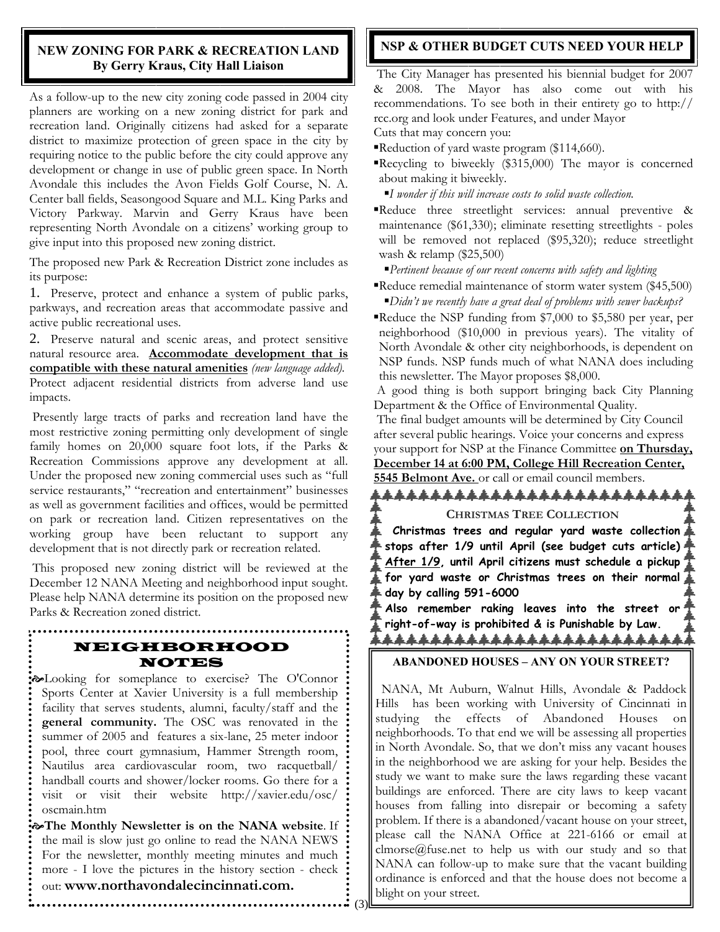### **NEW ZONING FOR PARK & RECREATION LAND By Gerry Kraus, City Hall Liaison**

As a follow-up to the new city zoning code passed in 2004 city planners are working on a new zoning district for park and recreation land. Originally citizens had asked for a separate district to maximize protection of green space in the city by requiring notice to the public before the city could approve any development or change in use of public green space. In North Avondale this includes the Avon Fields Golf Course, N. A. Center ball fields, Seasongood Square and M.L. King Parks and Victory Parkway. Marvin and Gerry Kraus have been representing North Avondale on a citizens' working group to give input into this proposed new zoning district.

The proposed new Park & Recreation District zone includes as its purpose:

1. Preserve, protect and enhance a system of public parks, parkways, and recreation areas that accommodate passive and active public recreational uses.

2. Preserve natural and scenic areas, and protect sensitive natural resource area. **Accommodate development that is compatible with these natural amenities** *(new language added).* Protect adjacent residential districts from adverse land use impacts.

Presently large tracts of parks and recreation land have the most restrictive zoning permitting only development of single family homes on 20,000 square foot lots, if the Parks & Recreation Commissions approve any development at all. Under the proposed new zoning commercial uses such as "full service restaurants," "recreation and entertainment" businesses as well as government facilities and offices, would be permitted on park or recreation land. Citizen representatives on the working group have been reluctant to support any development that is not directly park or recreation related.

This proposed new zoning district will be reviewed at the December 12 NANA Meeting and neighborhood input sought. Please help NANA determine its position on the proposed new Parks & Recreation zoned district.

# NEIGHBORHOOD NOTES

**Exalcooking for someplance to exercise?** The O'Connor Sports Center at Xavier University is a full membership facility that serves students, alumni, faculty/staff and the **general community.** The OSC was renovated in the summer of 2005 and features a six-lane, 25 meter indoor pool, three court gymnasium, Hammer Strength room, Nautilus area cardiovascular room, two racquetball/ handball courts and shower/locker rooms. Go there for a visit or visit their website http://xavier.edu/osc/ oscmain.htm

[**The Monthly Newsletter is on the NANA website**. If the mail is slow just go online to read the NANA NEWS For the newsletter, monthly meeting minutes and much more - I love the pictures in the history section - check out: **www.northavondalecincinnati.com.** 

 $(3)$ 

### **NSP & OTHER BUDGET CUTS NEED YOUR HELP**

 The City Manager has presented his biennial budget for 2007 & 2008. The Mayor has also come out with his recommendations. To see both in their entirety go to http:// rcc.org and look under Features, and under Mayor Cuts that may concern you:

Reduction of yard waste program (\$114,660).

- ▪Recycling to biweekly (\$315,000) The mayor is concerned about making it biweekly.
	- ■*I wonder if this will increase costs to solid waste collection.*
- ▪Reduce three streetlight services: annual preventive & maintenance (\$61,330); eliminate resetting streetlights - poles will be removed not replaced (\$95,320); reduce streetlight wash & relamp (\$25,500)

▪*Pertinent because of our recent concerns with safety and lighting* 

- Reduce remedial maintenance of storm water system (\$45,500) ▪*Didn't we recently have a great deal of problems with sewer backups?*
- Reduce the NSP funding from \$7,000 to \$5,580 per year, per neighborhood (\$10,000 in previous years). The vitality of North Avondale & other city neighborhoods, is dependent on NSP funds. NSP funds much of what NANA does including this newsletter. The Mayor proposes \$8,000.

 A good thing is both support bringing back City Planning Department & the Office of Environmental Quality.

 The final budget amounts will be determined by City Council after several public hearings. Voice your concerns and express your support for NSP at the Finance Committee **on Thursday, December 14 at 6:00 PM, College Hill Recreation Center, 5545 Belmont Ave.** or call or email council members.

\*\*\*\*\*\*\*\*\*\*\*\*\*\*\*\*\*\*\*\*\*\*\*\*\*\* **CHRISTMAS TREE COLLECTION Christmas trees and regular yard waste collection stops after 1/9 until April (see budget cuts article) After 1/9, until April citizens must schedule a pickup for yard waste or Christmas trees on their normal day by calling 591-6000 Also remember raking leaves into the street or** 

**right-of-way is prohibited & is Punishable by Law.** *ዹዹዹዹዹዹዹዹዹዹዹዹዹዹዹዹዹዹዹዹዹዹዹ* 

### **ABANDONED HOUSES – ANY ON YOUR STREET?**

 NANA, Mt Auburn, Walnut Hills, Avondale & Paddock Hills has been working with University of Cincinnati in studying the effects of Abandoned Houses on neighborhoods. To that end we will be assessing all properties in North Avondale. So, that we don't miss any vacant houses in the neighborhood we are asking for your help. Besides the study we want to make sure the laws regarding these vacant buildings are enforced. There are city laws to keep vacant houses from falling into disrepair or becoming a safety problem. If there is a abandoned/vacant house on your street, please call the NANA Office at 221-6166 or email at clmorse@fuse.net to help us with our study and so that NANA can follow-up to make sure that the vacant building ordinance is enforced and that the house does not become a blight on your street.